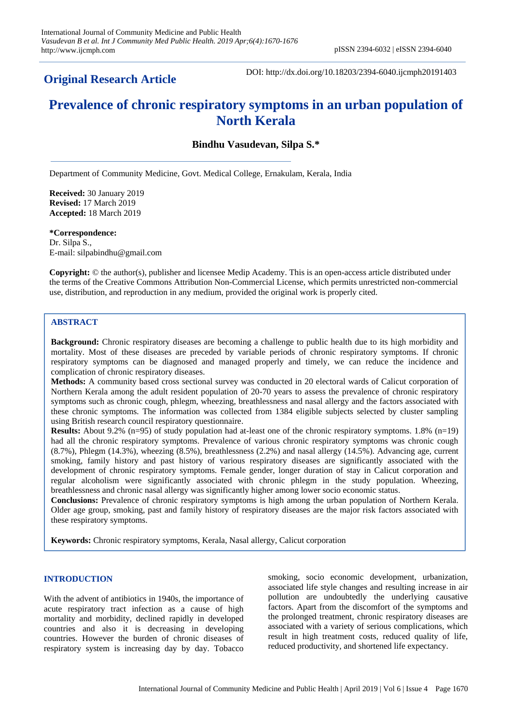## **Original Research Article**

DOI: http://dx.doi.org/10.18203/2394-6040.ijcmph20191403

# **Prevalence of chronic respiratory symptoms in an urban population of North Kerala**

## **Bindhu Vasudevan, Silpa S.\***

Department of Community Medicine, Govt. Medical College, Ernakulam, Kerala, India

**Received:** 30 January 2019 **Revised:** 17 March 2019 **Accepted:** 18 March 2019

**\*Correspondence:** Dr. Silpa S., E-mail: silpabindhu@gmail.com

**Copyright:** © the author(s), publisher and licensee Medip Academy. This is an open-access article distributed under the terms of the Creative Commons Attribution Non-Commercial License, which permits unrestricted non-commercial use, distribution, and reproduction in any medium, provided the original work is properly cited.

## **ABSTRACT**

**Background:** Chronic respiratory diseases are becoming a challenge to public health due to its high morbidity and mortality. Most of these diseases are preceded by variable periods of chronic respiratory symptoms. If chronic respiratory symptoms can be diagnosed and managed properly and timely, we can reduce the incidence and complication of chronic respiratory diseases.

**Methods:** A community based cross sectional survey was conducted in 20 electoral wards of Calicut corporation of Northern Kerala among the adult resident population of 20-70 years to assess the prevalence of chronic respiratory symptoms such as chronic cough, phlegm, wheezing, breathlessness and nasal allergy and the factors associated with these chronic symptoms. The information was collected from 1384 eligible subjects selected by cluster sampling using British research council respiratory questionnaire.

**Results:** About 9.2% (n=95) of study population had at-least one of the chronic respiratory symptoms. 1.8% (n=19) had all the chronic respiratory symptoms. Prevalence of various chronic respiratory symptoms was chronic cough (8.7%), Phlegm (14.3%), wheezing (8.5%), breathlessness (2.2%) and nasal allergy (14.5%). Advancing age, current smoking, family history and past history of various respiratory diseases are significantly associated with the development of chronic respiratory symptoms. Female gender, longer duration of stay in Calicut corporation and regular alcoholism were significantly associated with chronic phlegm in the study population. Wheezing, breathlessness and chronic nasal allergy was significantly higher among lower socio economic status.

**Conclusions:** Prevalence of chronic respiratory symptoms is high among the urban population of Northern Kerala. Older age group, smoking, past and family history of respiratory diseases are the major risk factors associated with these respiratory symptoms.

**Keywords:** Chronic respiratory symptoms, Kerala, Nasal allergy, Calicut corporation

#### **INTRODUCTION**

With the advent of antibiotics in 1940s, the importance of acute respiratory tract infection as a cause of high mortality and morbidity, declined rapidly in developed countries and also it is decreasing in developing countries. However the burden of chronic diseases of respiratory system is increasing day by day. Tobacco smoking, socio economic development, urbanization, associated life style changes and resulting increase in air pollution are undoubtedly the underlying causative factors. Apart from the discomfort of the symptoms and the prolonged treatment, chronic respiratory diseases are associated with a variety of serious complications, which result in high treatment costs, reduced quality of life, reduced productivity, and shortened life expectancy.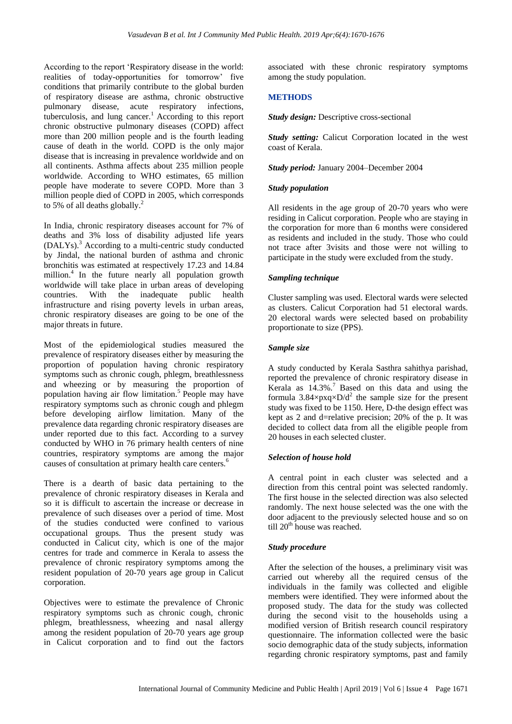According to the report 'Respiratory disease in the world: realities of today-opportunities for tomorrow' five conditions that primarily contribute to the global burden of respiratory disease are asthma, chronic obstructive pulmonary disease, acute respiratory infections, tuberculosis, and lung cancer.<sup>1</sup> According to this report chronic obstructive pulmonary diseases (COPD) affect more than 200 million people and is the fourth leading cause of death in the world. COPD is the only major disease that is increasing in prevalence worldwide and on all continents. Asthma affects about 235 million people worldwide. According to WHO estimates, 65 million people have moderate to severe COPD. More than 3 million people died of COPD in 2005, which corresponds to 5% of all deaths globally.<sup>2</sup>

In India, chronic respiratory diseases account for 7% of deaths and 3% loss of disability adjusted life years (DALYs).<sup>3</sup> According to a multi-centric study conducted by Jindal, the national burden of asthma and chronic bronchitis was estimated at respectively 17.23 and 14.84 million. $4$  In the future nearly all population growth worldwide will take place in urban areas of developing countries. With the inadequate public health infrastructure and rising poverty levels in urban areas, chronic respiratory diseases are going to be one of the major threats in future.

Most of the epidemiological studies measured the prevalence of respiratory diseases either by measuring the proportion of population having chronic respiratory symptoms such as chronic cough, phlegm, breathlessness and wheezing or by measuring the proportion of population having air flow limitation.<sup>5</sup> People may have respiratory symptoms such as chronic cough and phlegm before developing airflow limitation. Many of the prevalence data regarding chronic respiratory diseases are under reported due to this fact. According to a survey conducted by WHO in 76 primary health centers of nine countries, respiratory symptoms are among the major causes of consultation at primary health care centers.<sup>6</sup>

There is a dearth of basic data pertaining to the prevalence of chronic respiratory diseases in Kerala and so it is difficult to ascertain the increase or decrease in prevalence of such diseases over a period of time. Most of the studies conducted were confined to various occupational groups. Thus the present study was conducted in Calicut city, which is one of the major centres for trade and commerce in Kerala to assess the prevalence of chronic respiratory symptoms among the resident population of 20-70 years age group in Calicut corporation.

Objectives were to estimate the prevalence of Chronic respiratory symptoms such as chronic cough, chronic phlegm, breathlessness, wheezing and nasal allergy among the resident population of 20-70 years age group in Calicut corporation and to find out the factors associated with these chronic respiratory symptoms among the study population.

#### **METHODS**

*Study design:* Descriptive cross-sectional

*Study setting:* Calicut Corporation located in the west coast of Kerala.

*Study period:* January 2004–December 2004

#### *Study population*

All residents in the age group of 20-70 years who were residing in Calicut corporation. People who are staying in the corporation for more than 6 months were considered as residents and included in the study. Those who could not trace after 3visits and those were not willing to participate in the study were excluded from the study.

#### *Sampling technique*

Cluster sampling was used. Electoral wards were selected as clusters. Calicut Corporation had 51 electoral wards. 20 electoral wards were selected based on probability proportionate to size (PPS).

#### *Sample size*

A study conducted by Kerala Sasthra sahithya parishad, reported the prevalence of chronic respiratory disease in Kerala as  $14.3\%$ .<sup>7</sup> Based on this data and using the formula  $3.84 \times pxq \times D/d^2$  the sample size for the present study was fixed to be 1150. Here, D-the design effect was kept as 2 and d=relative precision; 20% of the p. It was decided to collect data from all the eligible people from 20 houses in each selected cluster.

#### *Selection of house hold*

A central point in each cluster was selected and a direction from this central point was selected randomly. The first house in the selected direction was also selected randomly. The next house selected was the one with the door adjacent to the previously selected house and so on till 20<sup>th</sup> house was reached.

#### *Study procedure*

After the selection of the houses, a preliminary visit was carried out whereby all the required census of the individuals in the family was collected and eligible members were identified. They were informed about the proposed study. The data for the study was collected during the second visit to the households using a modified version of British research council respiratory questionnaire. The information collected were the basic socio demographic data of the study subjects, information regarding chronic respiratory symptoms, past and family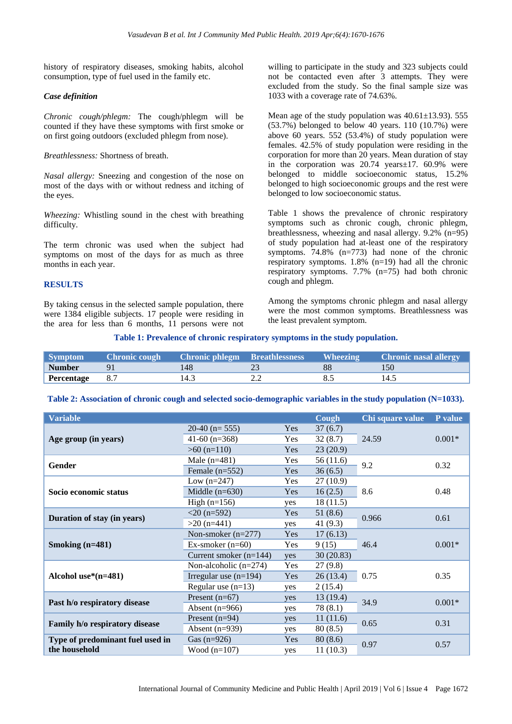history of respiratory diseases, smoking habits, alcohol consumption, type of fuel used in the family etc.

#### *Case definition*

*Chronic cough/phlegm:* The cough/phlegm will be counted if they have these symptoms with first smoke or on first going outdoors (excluded phlegm from nose).

*Breathlessness:* Shortness of breath.

*Nasal allergy:* Sneezing and congestion of the nose on most of the days with or without redness and itching of the eyes.

*Wheezing:* Whistling sound in the chest with breathing difficulty.

The term chronic was used when the subject had symptoms on most of the days for as much as three months in each year.

#### **RESULTS**

By taking census in the selected sample population, there were 1384 eligible subjects. 17 people were residing in the area for less than 6 months, 11 persons were not willing to participate in the study and 323 subjects could not be contacted even after 3 attempts. They were excluded from the study. So the final sample size was 1033 with a coverage rate of 74.63%.

Mean age of the study population was  $40.61 \pm 13.93$ . 555 (53.7%) belonged to below 40 years. 110 (10.7%) were above 60 years. 552 (53.4%) of study population were females. 42.5% of study population were residing in the corporation for more than 20 years. Mean duration of stay in the corporation was 20.74 years±17. 60.9% were belonged to middle socioeconomic status, 15.2% belonged to high socioeconomic groups and the rest were belonged to low socioeconomic status.

Table 1 shows the prevalence of chronic respiratory symptoms such as chronic cough, chronic phlegm, breathlessness, wheezing and nasal allergy. 9.2% (n=95) of study population had at-least one of the respiratory symptoms. 74.8% (n=773) had none of the chronic respiratory symptoms. 1.8% (n=19) had all the chronic respiratory symptoms. 7.7% (n=75) had both chronic cough and phlegm.

Among the symptoms chronic phlegm and nasal allergy were the most common symptoms. Breathlessness was the least prevalent symptom.

|  |  | Table 1: Prevalence of chronic respiratory symptoms in the study population. |  |  |  |  |  |  |
|--|--|------------------------------------------------------------------------------|--|--|--|--|--|--|
|  |  |                                                                              |  |  |  |  |  |  |

| Symptom           | <b>Chronic cough Chronic phlegm Breathlessness</b> |     | <b>Wheezing</b> | <b>Chronic nasal allergy</b> |
|-------------------|----------------------------------------------------|-----|-----------------|------------------------------|
| <b>Number</b>     | Q <sub>1</sub>                                     | 148 |                 |                              |
| <b>Percentage</b> |                                                    |     |                 | 14                           |

**Table 2: Association of chronic cough and selected socio-demographic variables in the study population (N=1033).**

| <b>Variable</b>                  |                          |            | Cough          | Chi square value | P value  |  |
|----------------------------------|--------------------------|------------|----------------|------------------|----------|--|
|                                  | 20-40 ( $n=555$ )        | Yes        | 37(6.7)        |                  |          |  |
| Age group (in years)             | 41-60 $(n=368)$          | Yes        | 32(8.7)        | 24.59            | $0.001*$ |  |
|                                  | $>60$ (n=110)            | Yes        | 23(20.9)       |                  |          |  |
| Gender                           | Male $(n=481)$           | Yes        | 56 (11.6)      | 9.2              | 0.32     |  |
|                                  | Female $(n=552)$         | Yes        | 36(6.5)        |                  |          |  |
|                                  | Low $(n=247)$            | <b>Yes</b> | 27(10.9)       |                  |          |  |
| Socio economic status            | Middle $(n=630)$         | Yes        | 8.6<br>16(2.5) |                  | 0.48     |  |
|                                  | High $(n=156)$           | yes        | 18(11.5)       |                  |          |  |
| Duration of stay (in years)      | $<$ 20 (n=592)           | Yes        | 51(8.6)        | 0.966            | 0.61     |  |
|                                  | $>20$ (n=441)            | yes        | 41 $(9.3)$     |                  |          |  |
|                                  | Non-smoker $(n=277)$     | Yes        | 17(6.13)       |                  | $0.001*$ |  |
| Smoking $(n=481)$                | Ex-smoker $(n=60)$       | Yes        | 9(15)          | 46.4             |          |  |
|                                  | Current smoker $(n=144)$ | yes        | 30(20.83)      |                  |          |  |
|                                  | Non-alcoholic $(n=274)$  | Yes        | 27(9.8)        |                  | 0.35     |  |
| Alcohol use $*(n=481)$           | Irregular use $(n=194)$  | Yes        | 26(13.4)       | 0.75             |          |  |
|                                  | Regular use $(n=13)$     | yes        | 2(15.4)        |                  |          |  |
| Past h/o respiratory disease     | Present $(n=67)$         | yes        | 13(19.4)       | 34.9             | $0.001*$ |  |
|                                  | Absent $(n=966)$         | yes        | 78 (8.1)       |                  |          |  |
| Family h/o respiratory disease   | Present $(n=94)$         | yes        | 11(11.6)       | 0.65             | 0.31     |  |
|                                  | Absent $(n=939)$         | yes        | 80(8.5)        |                  |          |  |
| Type of predominant fuel used in | Gas $(n=926)$            | Yes        | 80(8.6)        | 0.97             | 0.57     |  |
| the household                    | Wood $(n=107)$           | yes        | 11(10.3)       |                  |          |  |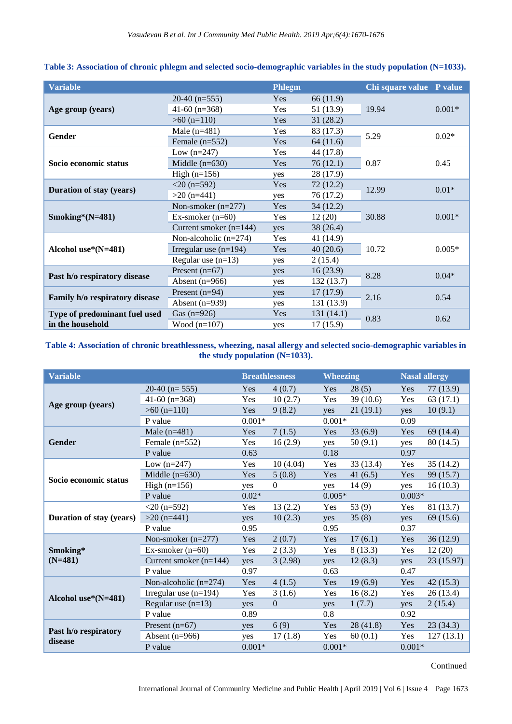| <b>Variable</b>                 |                          | <b>Phlegm</b> |            | Chi square value P value |          |  |
|---------------------------------|--------------------------|---------------|------------|--------------------------|----------|--|
|                                 | $20-40$ (n=555)          | Yes           | 66 (11.9)  |                          | $0.001*$ |  |
| Age group (years)               | 41-60 $(n=368)$          | Yes           | 51 (13.9)  | 19.94                    |          |  |
|                                 | $>60$ (n=110)            | Yes           | 31(28.2)   |                          |          |  |
| Gender                          | Male $(n=481)$           | Yes           | 83 (17.3)  | 5.29                     | $0.02*$  |  |
|                                 | Female $(n=552)$         | Yes           | 64(11.6)   |                          |          |  |
|                                 | Low $(n=247)$            | Yes           | 44 (17.8)  |                          |          |  |
| Socio economic status           | Middle $(n=630)$         | Yes           | 76(12.1)   | 0.87                     | 0.45     |  |
|                                 | High $(n=156)$           | yes           | 28 (17.9)  |                          |          |  |
|                                 | $<$ 20 (n=592)           | Yes           | 72(12.2)   | 12.99                    | $0.01*$  |  |
| <b>Duration of stay (years)</b> | $>20$ (n=441)            | yes           | 76 (17.2)  |                          |          |  |
|                                 | Non-smoker $(n=277)$     | Yes           | 34(12.2)   |                          | $0.001*$ |  |
| Smoking* $(N=481)$              | Ex-smoker $(n=60)$       | Yes           | 12(20)     | 30.88                    |          |  |
|                                 | Current smoker $(n=144)$ | yes           | 38 (26.4)  |                          |          |  |
|                                 | Non-alcoholic $(n=274)$  | Yes           | 41 (14.9)  |                          | $0.005*$ |  |
| Alcohol use $*(N=481)$          | Irregular use $(n=194)$  | Yes           | 40(20.6)   | 10.72                    |          |  |
|                                 | Regular use $(n=13)$     | yes           | 2(15.4)    |                          |          |  |
| Past h/o respiratory disease    | Present $(n=67)$         | yes           | 16(23.9)   | 8.28                     | $0.04*$  |  |
|                                 | Absent $(n=966)$         | yes           | 132 (13.7) |                          |          |  |
| Family h/o respiratory disease  | Present $(n=94)$         | yes           | 17(17.9)   | 2.16                     | 0.54     |  |
|                                 | Absent $(n=939)$         | yes           | 131 (13.9) |                          |          |  |
| Type of predominant fuel used   | Gas $(n=926)$            | Yes           | 131 (14.1) | 0.83                     | 0.62     |  |
| in the household                | Wood $(n=107)$           | yes           | 17(15.9)   |                          |          |  |

## **Table 3: Association of chronic phlegm and selected socio-demographic variables in the study population (N=1033).**

## **Table 4: Association of chronic breathlessness, wheezing, nasal allergy and selected socio-demographic variables in the study population (N=1033).**

| <b>Variable</b>                 |                          |          | <b>Breathlessness</b> | <b>Wheezing</b> |          |          | <b>Nasal allergy</b> |
|---------------------------------|--------------------------|----------|-----------------------|-----------------|----------|----------|----------------------|
|                                 | $20-40$ (n= 555)         | Yes      | 4(0.7)                | <b>Yes</b>      | 28(5)    | Yes      | 77 (13.9)            |
|                                 | 41-60 $(n=368)$          | Yes      | 10(2.7)               | Yes             | 39(10.6) | Yes      | 63(17.1)             |
| Age group (years)               | $>60$ (n=110)            | Yes      | 9(8.2)                | yes             | 21(19.1) | yes      | 10(9.1)              |
|                                 | P value                  | $0.001*$ |                       | $0.001*$        |          | 0.09     |                      |
|                                 | Male $(n=481)$           | Yes      | 7(1.5)                | Yes             | 33(6.9)  | Yes      | 69 (14.4)            |
| <b>Gender</b>                   | Female $(n=552)$         | Yes      | 16(2.9)               | yes             | 50(9.1)  | yes      | 80 (14.5)            |
|                                 | P value                  | 0.63     |                       | 0.18            |          | 0.97     |                      |
|                                 | Low $(n=247)$            | Yes      | 10(4.04)              | Yes             | 33(13.4) | Yes      | 35(14.2)             |
| Socio economic status           | Middle $(n=630)$         | Yes      | 5(0.8)                | Yes             | 41(6.5)  | Yes      | 99 (15.7)            |
|                                 | High $(n=156)$           | yes      | $\Omega$              | yes             | 14(9)    | yes      | 16(10.3)             |
|                                 | P value                  | $0.02*$  |                       | $0.005*$        |          | $0.003*$ |                      |
|                                 | $<$ 20 (n=592)           | Yes      | 13(2.2)               | Yes             | 53 $(9)$ | Yes      | 81 (13.7)            |
| <b>Duration of stay (years)</b> | $>20$ (n=441)            | yes      | 10(2.3)               | yes             | 35(8)    | yes      | 69(15.6)             |
|                                 | P value                  | 0.95     |                       | 0.95            |          | 0.37     |                      |
|                                 | Non-smoker $(n=277)$     | Yes      | 2(0.7)                | Yes             | 17(6.1)  | Yes      | 36(12.9)             |
| Smoking*                        | Ex-smoker $(n=60)$       | Yes      | 2(3.3)                | Yes             | 8(13.3)  | Yes      | 12(20)               |
| $(N=481)$                       | Current smoker $(n=144)$ | yes      | 3(2.98)               | yes             | 12(8.3)  | yes      | 23 (15.97)           |
|                                 | P value                  | 0.97     |                       | 0.63            |          | 0.47     |                      |
|                                 | Non-alcoholic $(n=274)$  | Yes      | 4(1.5)                | Yes             | 19(6.9)  | Yes      | 42(15.3)             |
| Alcohol use $*(N=481)$          | Irregular use $(n=194)$  | Yes      | 3(1.6)                | Yes             | 16(8.2)  | Yes      | 26(13.4)             |
|                                 | Regular use $(n=13)$     | yes      | $\Omega$              | yes             | 1(7.7)   | yes      | 2(15.4)              |
|                                 | P value                  | 0.89     |                       | 0.8             |          | 0.92     |                      |
|                                 | Present $(n=67)$         | yes      | 6(9)                  | Yes             | 28(41.8) | Yes      | 23(34.3)             |
| Past h/o respiratory<br>disease | Absent $(n=966)$         | yes      | 17(1.8)               | Yes             | 60(0.1)  | Yes      | 127(13.1)            |
|                                 | P value                  | $0.001*$ |                       | $0.001*$        |          | $0.001*$ |                      |

## Continued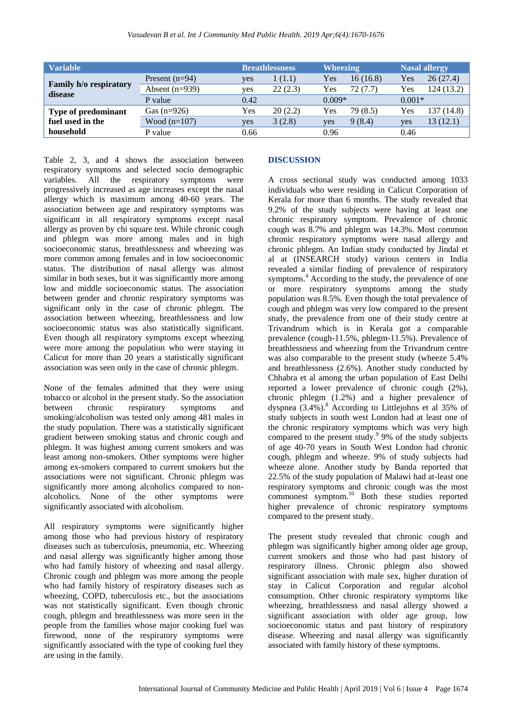| <b>Variable</b>                   |                  |      | <b>Breathlessness</b> | <b>Wheezing</b> |          |          | <b>Nasal allergy</b> |
|-----------------------------------|------------------|------|-----------------------|-----------------|----------|----------|----------------------|
|                                   | Present $(n=94)$ | yes  | 1(1.1)                | Yes             | 16(16.8) | Yes      | 26(27.4)             |
| Family h/o respiratory<br>disease | Absent $(n=939)$ | yes  | 22(2.3)               | Yes             | 72(7.7)  | Yes      | 124 (13.2)           |
|                                   | P value          | 0.42 |                       | $0.009*$        |          | $0.001*$ |                      |
| Type of predominant               | Gas $(n=926)$    | Yes  | 20(2.2)               | Yes             | 79 (8.5) | Yes      | 137 (14.8)           |
| fuel used in the                  | Wood $(n=107)$   | yes  | 3(2.8)                | yes             | 9(8.4)   | yes      | 13 (12.1)            |
| household                         | P value          | 0.66 |                       | 0.96            |          | 0.46     |                      |

Table 2, 3, and 4 shows the association between respiratory symptoms and selected socio demographic variables. All the respiratory symptoms were progressively increased as age increases except the nasal allergy which is maximum among 40-60 years. The association between age and respiratory symptoms was significant in all respiratory symptoms except nasal allergy as proven by chi square test. While chronic cough and phlegm was more among males and in high socioeconomic status, breathlessness and wheezing was more common among females and in low socioeconomic status. The distribution of nasal allergy was almost similar in both sexes, but it was significantly more among low and middle socioeconomic status. The association between gender and chronic respiratory symptoms was significant only in the case of chronic phlegm. The association between wheezing, breathlessness and low socioeconomic status was also statistically significant. Even though all respiratory symptoms except wheezing were more among the population who were staying in Calicut for more than 20 years a statistically significant association was seen only in the case of chronic phlegm.

None of the females admitted that they were using tobacco or alcohol in the present study. So the association between chronic respiratory symptoms and smoking/alcoholism was tested only among 481 males in the study population. There was a statistically significant gradient between smoking status and chronic cough and phlegm. It was highest among current smokers and was least among non-smokers. Other symptoms were higher among ex-smokers compared to current smokers but the associations were not significant. Chronic phlegm was significantly more among alcoholics compared to nonalcoholics. None of the other symptoms were significantly associated with alcoholism.

All respiratory symptoms were significantly higher among those who had previous history of respiratory diseases such as tuberculosis, pneumonia, etc. Wheezing and nasal allergy was significantly higher among those who had family history of wheezing and nasal allergy. Chronic cough and phlegm was more among the people who had family history of respiratory diseases such as wheezing, COPD, tuberculosis etc., but the associations was not statistically significant. Even though chronic cough, phlegm and breathlessness was more seen in the people from the families whose major cooking fuel was firewood, none of the respiratory symptoms were significantly associated with the type of cooking fuel they are using in the family.

#### **DISCUSSION**

A cross sectional study was conducted among 1033 individuals who were residing in Calicut Corporation of Kerala for more than 6 months. The study revealed that 9.2% of the study subjects were having at least one chronic respiratory symptom. Prevalence of chronic cough was 8.7% and phlegm was 14.3%. Most common chronic respiratory symptoms were nasal allergy and chronic phlegm. An Indian study conducted by Jindal et al at (INSEARCH study) various centers in India revealed a similar finding of prevalence of respiratory symptoms.<sup>4</sup> According to the study, the prevalence of one or more respiratory symptoms among the study population was 8.5%. Even though the total prevalence of cough and phlegm was very low compared to the present study, the prevalence from one of their study centre at Trivandrum which is in Kerala got a comparable prevalence (cough-11.5%, phlegm-11.5%). Prevalence of breathlessness and wheezing from the Trivandrum centre was also comparable to the present study (wheeze 5.4% and breathlessness (2.6%). Another study conducted by Chhabra et al among the urban population of East Delhi reported a lower prevalence of chronic cough (2%), chronic phlegm (1.2%) and a higher prevalence of dyspnea  $(3.4\%)$ .<sup>8</sup> According to Littlejohns et al 35% of study subjects in south west London had at least one of the chronic respiratory symptoms which was very high compared to the present study.<sup>9</sup> 9% of the study subjects of age 40-70 years in South West London had chronic cough, phlegm and wheeze. 9% of study subjects had wheeze alone. Another study by Banda reported that 22.5% of the study population of Malawi had at-least one respiratory symptoms and chronic cough was the most commonest symptom.<sup>10</sup> Both these studies reported higher prevalence of chronic respiratory symptoms compared to the present study.

The present study revealed that chronic cough and phlegm was significantly higher among older age group, current smokers and those who had past history of respiratory illness. Chronic phlegm also showed significant association with male sex, higher duration of stay in Calicut Corporation and regular alcohol consumption. Other chronic respiratory symptoms like wheezing, breathlessness and nasal allergy showed a significant association with older age group, low socioeconomic status and past history of respiratory disease. Wheezing and nasal allergy was significantly associated with family history of these symptoms.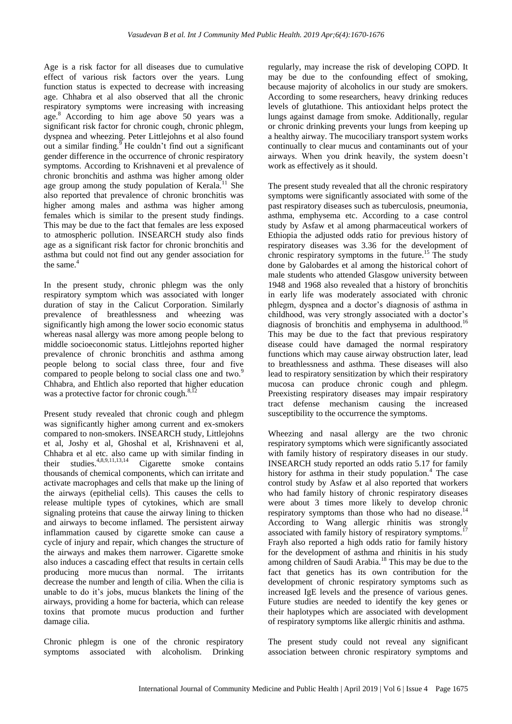Age is a risk factor for all diseases due to cumulative effect of various risk factors over the years. Lung function status is expected to decrease with increasing age. Chhabra et al also observed that all the chronic respiratory symptoms were increasing with increasing age.<sup>8</sup> According to him age above 50 years was a significant risk factor for chronic cough, chronic phlegm, dyspnea and wheezing. Peter Littlejohns et al also found out a similar finding.<sup>9</sup> He couldn't find out a significant gender difference in the occurrence of chronic respiratory symptoms. According to Krishnaveni et al prevalence of chronic bronchitis and asthma was higher among older age group among the study population of Kerala.<sup>11</sup> She also reported that prevalence of chronic bronchitis was higher among males and asthma was higher among females which is similar to the present study findings. This may be due to the fact that females are less exposed to atmospheric pollution. INSEARCH study also finds age as a significant risk factor for chronic bronchitis and asthma but could not find out any gender association for the same.<sup>4</sup>

In the present study, chronic phlegm was the only respiratory symptom which was associated with longer duration of stay in the Calicut Corporation. Similarly prevalence of breathlessness and wheezing was significantly high among the lower socio economic status whereas nasal allergy was more among people belong to middle socioeconomic status. Littlejohns reported higher prevalence of chronic bronchitis and asthma among people belong to social class three, four and five compared to people belong to social class one and two.<sup>9</sup> Chhabra, and Ehtlich also reported that higher education was a protective factor for chronic cough. $8,12$ 

Present study revealed that chronic cough and phlegm was significantly higher among current and ex-smokers compared to non-smokers. INSEARCH study, Littlejohns et al, Joshy et al, Ghoshal et al, Krishnaveni et al, Chhabra et al etc. also came up with similar finding in their studies. $4,8,9,11,13,14$  Cigarette smoke contains thousands of chemical components, which can irritate and activate macrophages and cells that make up the lining of the airways (epithelial cells). This causes the cells to release multiple types of cytokines, which are small signaling proteins that cause the airway lining to thicken and airways to become inflamed. The persistent airway inflammation caused by cigarette smoke can cause a cycle of injury and repair, which changes the structure of the airways and makes them narrower. Cigarette smoke also induces a cascading effect that results in certain cells producing more mucus than normal. The irritants decrease the number and length of cilia. When the cilia is unable to do it's jobs, mucus blankets the lining of the airways, providing a home for bacteria, which can release toxins that promote mucus production and further damage cilia.

Chronic phlegm is one of the chronic respiratory symptoms associated with alcoholism. Drinking regularly, may increase the risk of developing COPD. It may be due to the confounding effect of smoking, because majority of alcoholics in our study are smokers. According to some researchers, heavy drinking reduces levels of glutathione. This antioxidant helps protect the lungs against damage from smoke. Additionally, regular or chronic drinking prevents your lungs from keeping up a healthy airway. The mucociliary transport system works continually to clear mucus and contaminants out of your airways. When you drink heavily, the system doesn't work as effectively as it should.

The present study revealed that all the chronic respiratory symptoms were significantly associated with some of the past respiratory diseases such as tuberculosis, pneumonia, asthma, emphysema etc. According to a case control study by Asfaw et al among pharmaceutical workers of Ethiopia the adjusted odds ratio for previous history of respiratory diseases was 3.36 for the development of chronic respiratory symptoms in the future.<sup>15</sup> The study done by Galobardes et al among the historical cohort of male students who attended Glasgow university between 1948 and 1968 also revealed that a history of bronchitis in early life was moderately associated with chronic phlegm, dyspnea and a doctor's diagnosis of asthma in childhood, was very strongly associated with a doctor's diagnosis of bronchitis and emphysema in adulthood.<sup>16</sup> This may be due to the fact that previous respiratory disease could have damaged the normal respiratory functions which may cause airway obstruction later, lead to breathlessness and asthma. These diseases will also lead to respiratory sensitization by which their respiratory mucosa can produce chronic cough and phlegm. Preexisting respiratory diseases may impair respiratory tract defense mechanism causing the increased susceptibility to the occurrence the symptoms.

Wheezing and nasal allergy are the two chronic respiratory symptoms which were significantly associated with family history of respiratory diseases in our study. INSEARCH study reported an odds ratio 5.17 for family history for asthma in their study population.<sup>4</sup> The case control study by Asfaw et al also reported that workers who had family history of chronic respiratory diseases were about 3 times more likely to develop chronic respiratory symptoms than those who had no disease. $14$ According to Wang allergic rhinitis was strongly associated with family history of respiratory symptoms.<sup>1</sup> Frayh also reported a high odds ratio for family history for the development of asthma and rhinitis in his study among children of Saudi Arabia.<sup>18</sup> This may be due to the fact that genetics has its own contribution for the development of chronic respiratory symptoms such as increased IgE levels and the presence of various genes. Future studies are needed to identify the key genes or their haplotypes which are associated with development of respiratory symptoms like allergic rhinitis and asthma.

The present study could not reveal any significant association between chronic respiratory symptoms and